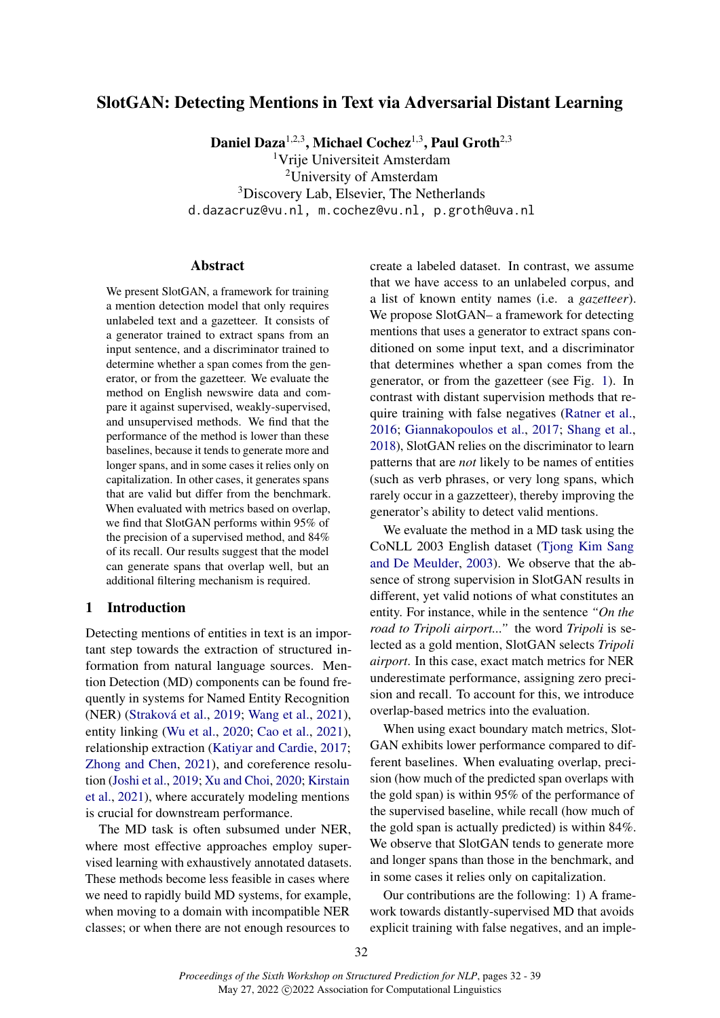# SlotGAN: Detecting Mentions in Text via Adversarial Distant Learning

Daniel Daza<sup>1,2,3</sup>, Michael Cochez<sup>1,3</sup>, Paul Groth<sup>2,3</sup>

Vrije Universiteit Amsterdam University of Amsterdam Discovery Lab, Elsevier, The Netherlands d.dazacruz@vu.nl, m.cochez@vu.nl, p.groth@uva.nl

#### Abstract

We present SlotGAN, a framework for training a mention detection model that only requires unlabeled text and a gazetteer. It consists of a generator trained to extract spans from an input sentence, and a discriminator trained to determine whether a span comes from the generator, or from the gazetteer. We evaluate the method on English newswire data and compare it against supervised, weakly-supervised, and unsupervised methods. We find that the performance of the method is lower than these baselines, because it tends to generate more and longer spans, and in some cases it relies only on capitalization. In other cases, it generates spans that are valid but differ from the benchmark. When evaluated with metrics based on overlap, we find that SlotGAN performs within 95% of the precision of a supervised method, and 84% of its recall. Our results suggest that the model can generate spans that overlap well, but an additional filtering mechanism is required.

# 1 Introduction

Detecting mentions of entities in text is an important step towards the extraction of structured information from natural language sources. Mention Detection (MD) components can be found frequently in systems for Named Entity Recognition (NER) [\(Straková et al.,](#page-5-0) [2019;](#page-5-0) [Wang et al.,](#page-5-1) [2021\)](#page-5-1), entity linking [\(Wu et al.,](#page-6-0) [2020;](#page-6-0) [Cao et al.,](#page-4-0) [2021\)](#page-4-0), relationship extraction [\(Katiyar and Cardie,](#page-4-1) [2017;](#page-4-1) [Zhong and Chen,](#page-6-1) [2021\)](#page-6-1), and coreference resolution [\(Joshi et al.,](#page-4-2) [2019;](#page-4-2) [Xu and Choi,](#page-6-2) [2020;](#page-6-2) [Kirstain](#page-4-3) [et al.,](#page-4-3) [2021\)](#page-4-3), where accurately modeling mentions is crucial for downstream performance.

The MD task is often subsumed under NER, where most effective approaches employ supervised learning with exhaustively annotated datasets. These methods become less feasible in cases where we need to rapidly build MD systems, for example, when moving to a domain with incompatible NER classes; or when there are not enough resources to

create a labeled dataset. In contrast, we assume that we have access to an unlabeled corpus, and a list of known entity names (i.e. a *gazetteer*). We propose SlotGAN– a framework for detecting mentions that uses a generator to extract spans conditioned on some input text, and a discriminator that determines whether a span comes from the generator, or from the gazetteer (see Fig. [1\)](#page-1-0). In contrast with distant supervision methods that require training with false negatives [\(Ratner et al.,](#page-5-2) [2016;](#page-5-2) [Giannakopoulos et al.,](#page-4-4) [2017;](#page-4-4) [Shang et al.,](#page-5-3) [2018\)](#page-5-3), SlotGAN relies on the discriminator to learn patterns that are *not* likely to be names of entities (such as verb phrases, or very long spans, which rarely occur in a gazzetteer), thereby improving the generator's ability to detect valid mentions.

We evaluate the method in a MD task using the CoNLL 2003 English dataset [\(Tjong Kim Sang](#page-5-4) [and De Meulder,](#page-5-4) [2003\)](#page-5-4). We observe that the absence of strong supervision in SlotGAN results in different, yet valid notions of what constitutes an entity. For instance, while in the sentence *"On the road to Tripoli airport..."* the word *Tripoli* is selected as a gold mention, SlotGAN selects *Tripoli airport*. In this case, exact match metrics for NER underestimate performance, assigning zero precision and recall. To account for this, we introduce overlap-based metrics into the evaluation.

When using exact boundary match metrics, Slot-GAN exhibits lower performance compared to different baselines. When evaluating overlap, precision (how much of the predicted span overlaps with the gold span) is within 95% of the performance of the supervised baseline, while recall (how much of the gold span is actually predicted) is within 84%. We observe that SlotGAN tends to generate more and longer spans than those in the benchmark, and in some cases it relies only on capitalization.

Our contributions are the following: 1) A framework towards distantly-supervised MD that avoids explicit training with false negatives, and an imple-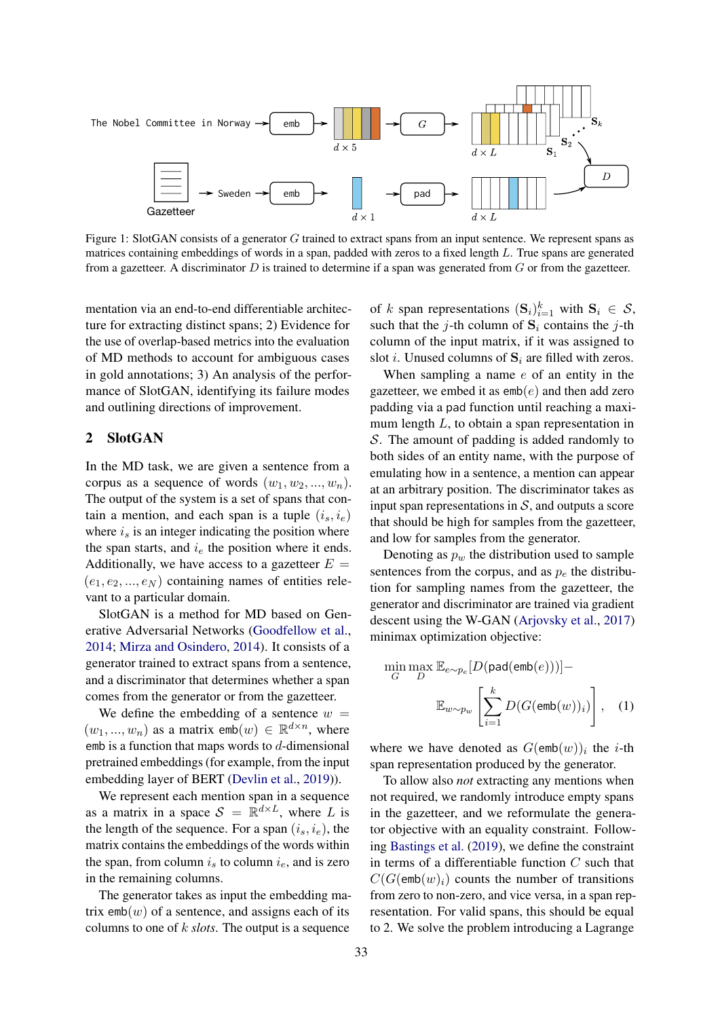<span id="page-1-0"></span>

Figure 1: SlotGAN consists of a generator G trained to extract spans from an input sentence. We represent spans as matrices containing embeddings of words in a span, padded with zeros to a fixed length L. True spans are generated from a gazetteer. A discriminator  $D$  is trained to determine if a span was generated from  $G$  or from the gazetteer.

mentation via an end-to-end differentiable architecture for extracting distinct spans; 2) Evidence for the use of overlap-based metrics into the evaluation of MD methods to account for ambiguous cases in gold annotations; 3) An analysis of the performance of SlotGAN, identifying its failure modes and outlining directions of improvement.

### 2 SlotGAN

In the MD task, we are given a sentence from a corpus as a sequence of words  $(w_1, w_2, ..., w_n)$ . The output of the system is a set of spans that contain a mention, and each span is a tuple  $(i_s, i_e)$ where  $i_s$  is an integer indicating the position where the span starts, and  $i_e$  the position where it ends. Additionally, we have access to a gazetteer  $E =$  $(e_1, e_2, ..., e_N)$  containing names of entities relevant to a particular domain.

SlotGAN is a method for MD based on Generative Adversarial Networks [\(Goodfellow et al.,](#page-4-5) [2014;](#page-4-5) [Mirza and Osindero,](#page-5-5) [2014\)](#page-5-5). It consists of a generator trained to extract spans from a sentence, and a discriminator that determines whether a span comes from the generator or from the gazetteer.

We define the embedding of a sentence  $w =$  $(w_1, ..., w_n)$  as a matrix  $emb(w) \in \mathbb{R}^{d \times n}$ , where emb is a function that maps words to  $d$ -dimensional pretrained embeddings (for example, from the input embedding layer of BERT [\(Devlin et al.,](#page-4-6) [2019\)](#page-4-6)).

We represent each mention span in a sequence as a matrix in a space  $S = \mathbb{R}^{d \times L}$ , where L is the length of the sequence. For a span  $(i_s, i_e)$ , the matrix contains the embeddings of the words within the span, from column  $i<sub>s</sub>$  to column  $i<sub>e</sub>$ , and is zero in the remaining columns.

The generator takes as input the embedding matrix  $emb(w)$  of a sentence, and assigns each of its columns to one of k *slots*. The output is a sequence

of k span representations  $(\mathbf{S}_i)_{i=1}^k$  with  $\mathbf{S}_i \in \mathcal{S}$ , such that the j-th column of  $S_i$  contains the j-th column of the input matrix, if it was assigned to slot *i*. Unused columns of  $S_i$  are filled with zeros.

When sampling a name e of an entity in the gazetteer, we embed it as  $emb(e)$  and then add zero padding via a pad function until reaching a maximum length  $L$ , to obtain a span representation in S. The amount of padding is added randomly to both sides of an entity name, with the purpose of emulating how in a sentence, a mention can appear at an arbitrary position. The discriminator takes as input span representations in  $S$ , and outputs a score that should be high for samples from the gazetteer, and low for samples from the generator.

Denoting as  $p_w$  the distribution used to sample sentences from the corpus, and as  $p_e$  the distribution for sampling names from the gazetteer, the generator and discriminator are trained via gradient descent using the W-GAN [\(Arjovsky et al.,](#page-4-7) [2017\)](#page-4-7) minimax optimization objective:

<span id="page-1-1"></span>
$$
\min_{G} \max_{D} \mathbb{E}_{e \sim p_e} [D(\text{pad}(\text{emb}(e)))] -
$$

$$
\mathbb{E}_{w \sim p_w} \left[ \sum_{i=1}^{k} D(G(\text{emb}(w))_i) \right], \quad (1)
$$

where we have denoted as  $G(\text{emb}(w))_i$  the *i*-th span representation produced by the generator.

To allow also *not* extracting any mentions when not required, we randomly introduce empty spans in the gazetteer, and we reformulate the generator objective with an equality constraint. Following [Bastings et al.](#page-4-8) [\(2019\)](#page-4-8), we define the constraint in terms of a differentiable function  $C$  such that  $C(G(\text{emb}(w)_i))$  counts the number of transitions from zero to non-zero, and vice versa, in a span representation. For valid spans, this should be equal to 2. We solve the problem introducing a Lagrange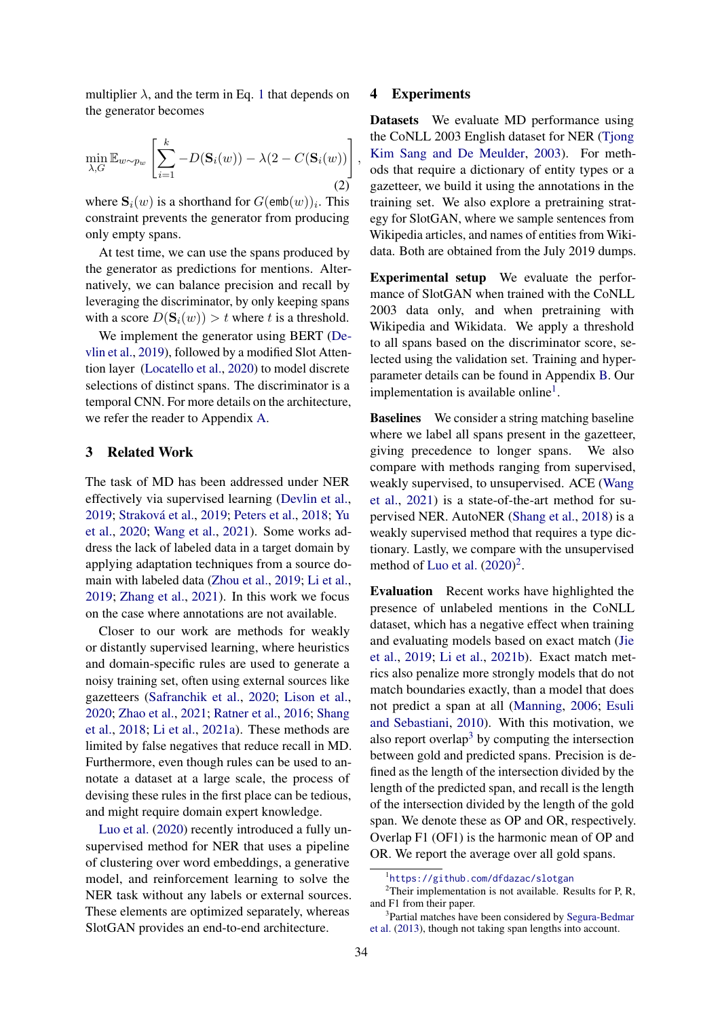multiplier  $\lambda$ , and the term in Eq. [1](#page-1-1) that depends on the generator becomes

$$
\min_{\lambda, G} \mathbb{E}_{w \sim p_w} \left[ \sum_{i=1}^k -D(\mathbf{S}_i(w)) - \lambda (2 - C(\mathbf{S}_i(w))) \right]
$$
\n(2)

where  $\mathbf{S}_i(w)$  is a shorthand for  $G(\text{emb}(w))_i$ . This constraint prevents the generator from producing only empty spans.

At test time, we can use the spans produced by the generator as predictions for mentions. Alternatively, we can balance precision and recall by leveraging the discriminator, by only keeping spans with a score  $D(\mathbf{S}_i(w)) > t$  where t is a threshold.

We implement the generator using BERT [\(De](#page-4-6)[vlin et al.,](#page-4-6) [2019\)](#page-4-6), followed by a modified Slot Attention layer [\(Locatello et al.,](#page-5-6) [2020\)](#page-5-6) to model discrete selections of distinct spans. The discriminator is a temporal CNN. For more details on the architecture, we refer the reader to Appendix [A.](#page-6-3)

### 3 Related Work

The task of MD has been addressed under NER effectively via supervised learning [\(Devlin et al.,](#page-4-6) [2019;](#page-4-6) [Straková et al.,](#page-5-0) [2019;](#page-5-0) [Peters et al.,](#page-5-7) [2018;](#page-5-7) [Yu](#page-6-4) [et al.,](#page-6-4) [2020;](#page-6-4) [Wang et al.,](#page-5-1) [2021\)](#page-5-1). Some works address the lack of labeled data in a target domain by applying adaptation techniques from a source domain with labeled data [\(Zhou et al.,](#page-6-5) [2019;](#page-6-5) [Li et al.,](#page-5-8) [2019;](#page-5-8) [Zhang et al.,](#page-6-6) [2021\)](#page-6-6). In this work we focus on the case where annotations are not available.

Closer to our work are methods for weakly or distantly supervised learning, where heuristics and domain-specific rules are used to generate a noisy training set, often using external sources like gazetteers [\(Safranchik et al.,](#page-5-9) [2020;](#page-5-9) [Lison et al.,](#page-5-10) [2020;](#page-5-10) [Zhao et al.,](#page-6-7) [2021;](#page-6-7) [Ratner et al.,](#page-5-2) [2016;](#page-5-2) [Shang](#page-5-3) [et al.,](#page-5-3) [2018;](#page-5-3) [Li et al.,](#page-4-9) [2021a\)](#page-4-9). These methods are limited by false negatives that reduce recall in MD. Furthermore, even though rules can be used to annotate a dataset at a large scale, the process of devising these rules in the first place can be tedious, and might require domain expert knowledge.

[Luo et al.](#page-5-11) [\(2020\)](#page-5-11) recently introduced a fully unsupervised method for NER that uses a pipeline of clustering over word embeddings, a generative model, and reinforcement learning to solve the NER task without any labels or external sources. These elements are optimized separately, whereas SlotGAN provides an end-to-end architecture.

### 4 Experiments

,

Datasets We evaluate MD performance using the CoNLL 2003 English dataset for NER [\(Tjong](#page-5-4) [Kim Sang and De Meulder,](#page-5-4) [2003\)](#page-5-4). For methods that require a dictionary of entity types or a gazetteer, we build it using the annotations in the training set. We also explore a pretraining strategy for SlotGAN, where we sample sentences from Wikipedia articles, and names of entities from Wikidata. Both are obtained from the July 2019 dumps.

Experimental setup We evaluate the performance of SlotGAN when trained with the CoNLL 2003 data only, and when pretraining with Wikipedia and Wikidata. We apply a threshold to all spans based on the discriminator score, selected using the validation set. Training and hyperparameter details can be found in Appendix [B.](#page-7-0) Our implementation is available online<sup>[1](#page-2-0)</sup>.

Baselines We consider a string matching baseline where we label all spans present in the gazetteer, giving precedence to longer spans. We also compare with methods ranging from supervised, weakly supervised, to unsupervised. ACE [\(Wang](#page-5-1) [et al.,](#page-5-1) [2021\)](#page-5-1) is a state-of-the-art method for supervised NER. AutoNER [\(Shang et al.,](#page-5-3) [2018\)](#page-5-3) is a weakly supervised method that requires a type dictionary. Lastly, we compare with the unsupervised method of [Luo et al.](#page-5-11)  $(2020)^2$  $(2020)^2$  $(2020)^2$ .

Evaluation Recent works have highlighted the presence of unlabeled mentions in the CoNLL dataset, which has a negative effect when training and evaluating models based on exact match [\(Jie](#page-4-10) [et al.,](#page-4-10) [2019;](#page-4-10) [Li et al.,](#page-5-12) [2021b\)](#page-5-12). Exact match metrics also penalize more strongly models that do not match boundaries exactly, than a model that does not predict a span at all [\(Manning,](#page-5-13) [2006;](#page-5-13) [Esuli](#page-4-11) [and Sebastiani,](#page-4-11) [2010\)](#page-4-11). With this motivation, we also report overlap<sup>[3](#page-2-2)</sup> by computing the intersection between gold and predicted spans. Precision is defined as the length of the intersection divided by the length of the predicted span, and recall is the length of the intersection divided by the length of the gold span. We denote these as OP and OR, respectively. Overlap F1 (OF1) is the harmonic mean of OP and OR. We report the average over all gold spans.

<span id="page-2-1"></span><span id="page-2-0"></span><sup>1</sup> <https://github.com/dfdazac/slotgan>

<sup>&</sup>lt;sup>2</sup>Their implementation is not available. Results for P, R, and F1 from their paper.

<span id="page-2-2"></span><sup>&</sup>lt;sup>3</sup>Partial matches have been considered by [Segura-Bedmar](#page-5-14) [et al.](#page-5-14) [\(2013\)](#page-5-14), though not taking span lengths into account.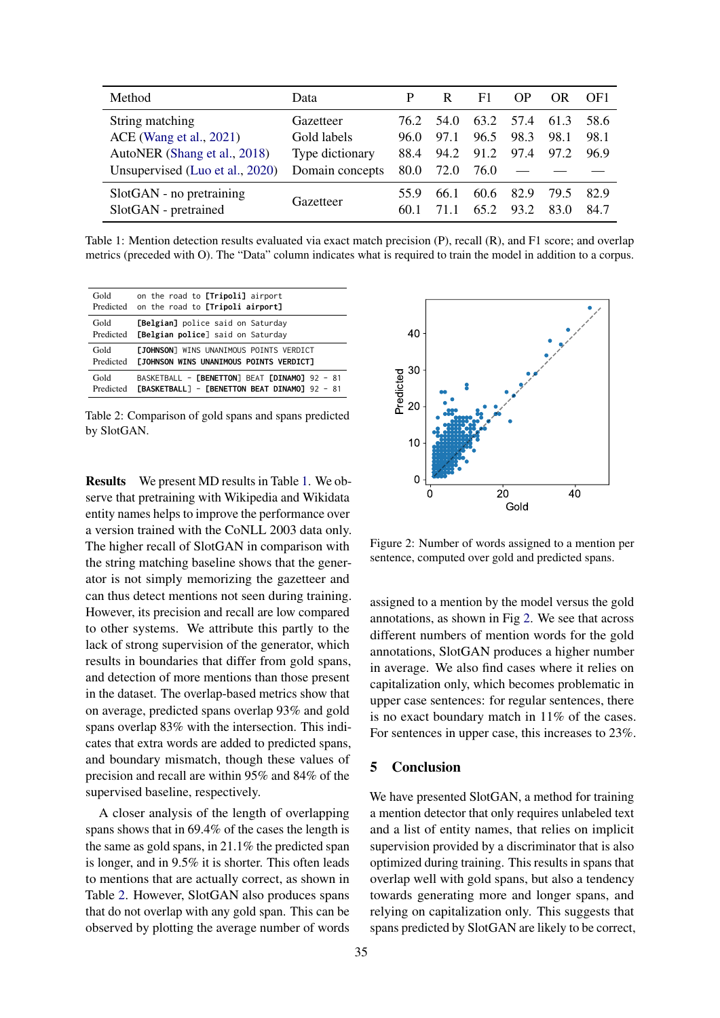<span id="page-3-0"></span>

| Method                                           | Data            | P            | R    | F1           | OP           | OR.          | OF <sub>1</sub> |
|--------------------------------------------------|-----------------|--------------|------|--------------|--------------|--------------|-----------------|
| String matching                                  | Gazetteer       | 76 2.        | 54.0 | 63.2         | 57.4         | 61.3         | 58.6            |
| ACE (Wang et al., 2021)                          | Gold labels     | 96.0         | 97.1 | 96.5         | 98.3         | 98.1         | 98.1            |
| AutoNER (Shang et al., 2018)                     | Type dictionary | 88.4         | 94.2 | 91.2         | 97.4         | 97.2         | 96.9            |
| Unsupervised (Luo et al., 2020)                  | Domain concepts | 80.0         | 72.0 | 76.0         |              |              |                 |
| SlotGAN - no pretraining<br>SlotGAN - pretrained | Gazetteer       | 55.9<br>60.1 | 66.1 | 60.6<br>65.2 | 82.9<br>93.2 | 79.5<br>83.0 | 82.9<br>84.7    |

Table 1: Mention detection results evaluated via exact match precision (P), recall (R), and F1 score; and overlap metrics (preceded with O). The "Data" column indicates what is required to train the model in addition to a corpus.

<span id="page-3-1"></span>

| Gold      | on the road to [Tripoli] airport                      |
|-----------|-------------------------------------------------------|
| Predicted | on the road to [Tripoli airport]                      |
| Gold      | <b>[Belgian]</b> police said on Saturday              |
| Predicted | [Belgian police] said on Saturday                     |
| Gold      | <b>FJOHNSON</b> WINS UNANIMOUS POINTS VERDICT         |
| Predicted | <b><i>FJOHNSON WINS UNANIMOUS POINTS VERDICT1</i></b> |
| Gold      | BASKETBALL - [BENETTON] BEAT [DINAMO] 92 - 81         |
| Predicted | <b>TBASKETBALL1 - FBENETTON BEAT DINAMO1 92 - 81</b>  |

Table 2: Comparison of gold spans and spans predicted by SlotGAN.

Results We present MD results in Table [1.](#page-3-0) We observe that pretraining with Wikipedia and Wikidata entity names helps to improve the performance over a version trained with the CoNLL 2003 data only. The higher recall of SlotGAN in comparison with the string matching baseline shows that the generator is not simply memorizing the gazetteer and can thus detect mentions not seen during training. However, its precision and recall are low compared to other systems. We attribute this partly to the lack of strong supervision of the generator, which results in boundaries that differ from gold spans, and detection of more mentions than those present in the dataset. The overlap-based metrics show that on average, predicted spans overlap 93% and gold spans overlap 83% with the intersection. This indicates that extra words are added to predicted spans, and boundary mismatch, though these values of precision and recall are within 95% and 84% of the supervised baseline, respectively.

A closer analysis of the length of overlapping spans shows that in 69.4% of the cases the length is the same as gold spans, in 21.1% the predicted span is longer, and in 9.5% it is shorter. This often leads to mentions that are actually correct, as shown in Table [2.](#page-3-1) However, SlotGAN also produces spans that do not overlap with any gold span. This can be observed by plotting the average number of words

<span id="page-3-2"></span>

Figure 2: Number of words assigned to a mention per sentence, computed over gold and predicted spans.

assigned to a mention by the model versus the gold annotations, as shown in Fig [2.](#page-3-2) We see that across different numbers of mention words for the gold annotations, SlotGAN produces a higher number in average. We also find cases where it relies on capitalization only, which becomes problematic in upper case sentences: for regular sentences, there is no exact boundary match in 11% of the cases. For sentences in upper case, this increases to 23%.

# 5 Conclusion

We have presented SlotGAN, a method for training a mention detector that only requires unlabeled text and a list of entity names, that relies on implicit supervision provided by a discriminator that is also optimized during training. This results in spans that overlap well with gold spans, but also a tendency towards generating more and longer spans, and relying on capitalization only. This suggests that spans predicted by SlotGAN are likely to be correct,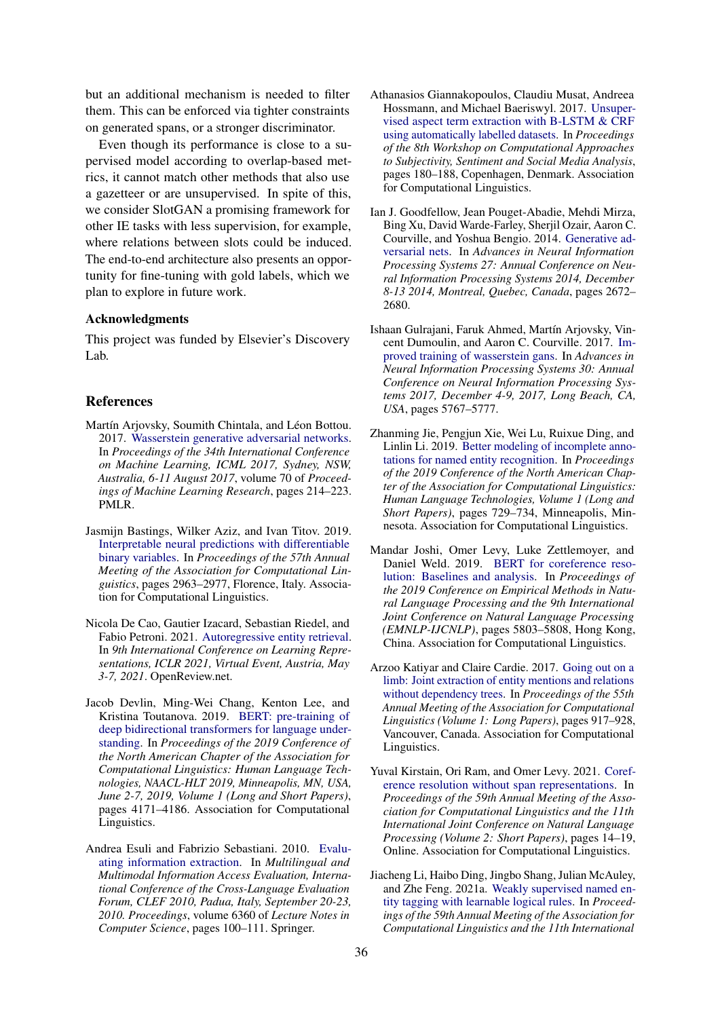but an additional mechanism is needed to filter them. This can be enforced via tighter constraints on generated spans, or a stronger discriminator.

Even though its performance is close to a supervised model according to overlap-based metrics, it cannot match other methods that also use a gazetteer or are unsupervised. In spite of this, we consider SlotGAN a promising framework for other IE tasks with less supervision, for example, where relations between slots could be induced. The end-to-end architecture also presents an opportunity for fine-tuning with gold labels, which we plan to explore in future work.

### Acknowledgments

This project was funded by Elsevier's Discovery Lab.

#### **References**

- <span id="page-4-7"></span>Martín Arjovsky, Soumith Chintala, and Léon Bottou. 2017. [Wasserstein generative adversarial networks.](http://proceedings.mlr.press/v70/arjovsky17a.html) In *Proceedings of the 34th International Conference on Machine Learning, ICML 2017, Sydney, NSW, Australia, 6-11 August 2017*, volume 70 of *Proceedings of Machine Learning Research*, pages 214–223. PMLR.
- <span id="page-4-8"></span>Jasmijn Bastings, Wilker Aziz, and Ivan Titov. 2019. [Interpretable neural predictions with differentiable](https://doi.org/10.18653/v1/P19-1284) [binary variables.](https://doi.org/10.18653/v1/P19-1284) In *Proceedings of the 57th Annual Meeting of the Association for Computational Linguistics*, pages 2963–2977, Florence, Italy. Association for Computational Linguistics.
- <span id="page-4-0"></span>Nicola De Cao, Gautier Izacard, Sebastian Riedel, and Fabio Petroni. 2021. [Autoregressive entity retrieval.](https://openreview.net/forum?id=5k8F6UU39V) In *9th International Conference on Learning Representations, ICLR 2021, Virtual Event, Austria, May 3-7, 2021*. OpenReview.net.
- <span id="page-4-6"></span>Jacob Devlin, Ming-Wei Chang, Kenton Lee, and Kristina Toutanova. 2019. [BERT: pre-training of](https://doi.org/10.18653/v1/n19-1423) [deep bidirectional transformers for language under](https://doi.org/10.18653/v1/n19-1423)[standing.](https://doi.org/10.18653/v1/n19-1423) In *Proceedings of the 2019 Conference of the North American Chapter of the Association for Computational Linguistics: Human Language Technologies, NAACL-HLT 2019, Minneapolis, MN, USA, June 2-7, 2019, Volume 1 (Long and Short Papers)*, pages 4171–4186. Association for Computational Linguistics.
- <span id="page-4-11"></span>Andrea Esuli and Fabrizio Sebastiani. 2010. [Evalu](https://doi.org/10.1007/978-3-642-15998-5_12)[ating information extraction.](https://doi.org/10.1007/978-3-642-15998-5_12) In *Multilingual and Multimodal Information Access Evaluation, International Conference of the Cross-Language Evaluation Forum, CLEF 2010, Padua, Italy, September 20-23, 2010. Proceedings*, volume 6360 of *Lecture Notes in Computer Science*, pages 100–111. Springer.
- <span id="page-4-4"></span>Athanasios Giannakopoulos, Claudiu Musat, Andreea Hossmann, and Michael Baeriswyl. 2017. [Unsuper](https://doi.org/10.18653/v1/W17-5224)[vised aspect term extraction with B-LSTM & CRF](https://doi.org/10.18653/v1/W17-5224) [using automatically labelled datasets.](https://doi.org/10.18653/v1/W17-5224) In *Proceedings of the 8th Workshop on Computational Approaches to Subjectivity, Sentiment and Social Media Analysis*, pages 180–188, Copenhagen, Denmark. Association for Computational Linguistics.
- <span id="page-4-5"></span>Ian J. Goodfellow, Jean Pouget-Abadie, Mehdi Mirza, Bing Xu, David Warde-Farley, Sherjil Ozair, Aaron C. Courville, and Yoshua Bengio. 2014. [Generative ad](https://proceedings.neurips.cc/paper/2014/hash/5ca3e9b122f61f8f06494c97b1afccf3-Abstract.html)[versarial nets.](https://proceedings.neurips.cc/paper/2014/hash/5ca3e9b122f61f8f06494c97b1afccf3-Abstract.html) In *Advances in Neural Information Processing Systems 27: Annual Conference on Neural Information Processing Systems 2014, December 8-13 2014, Montreal, Quebec, Canada*, pages 2672– 2680.
- <span id="page-4-12"></span>Ishaan Gulrajani, Faruk Ahmed, Martín Arjovsky, Vincent Dumoulin, and Aaron C. Courville. 2017. [Im](https://proceedings.neurips.cc/paper/2017/hash/892c3b1c6dccd52936e27cbd0ff683d6-Abstract.html)[proved training of wasserstein gans.](https://proceedings.neurips.cc/paper/2017/hash/892c3b1c6dccd52936e27cbd0ff683d6-Abstract.html) In *Advances in Neural Information Processing Systems 30: Annual Conference on Neural Information Processing Systems 2017, December 4-9, 2017, Long Beach, CA, USA*, pages 5767–5777.
- <span id="page-4-10"></span>Zhanming Jie, Pengjun Xie, Wei Lu, Ruixue Ding, and Linlin Li. 2019. [Better modeling of incomplete anno](https://doi.org/10.18653/v1/N19-1079)[tations for named entity recognition.](https://doi.org/10.18653/v1/N19-1079) In *Proceedings of the 2019 Conference of the North American Chapter of the Association for Computational Linguistics: Human Language Technologies, Volume 1 (Long and Short Papers)*, pages 729–734, Minneapolis, Minnesota. Association for Computational Linguistics.
- <span id="page-4-2"></span>Mandar Joshi, Omer Levy, Luke Zettlemoyer, and Daniel Weld. 2019. [BERT for coreference reso](https://doi.org/10.18653/v1/D19-1588)[lution: Baselines and analysis.](https://doi.org/10.18653/v1/D19-1588) In *Proceedings of the 2019 Conference on Empirical Methods in Natural Language Processing and the 9th International Joint Conference on Natural Language Processing (EMNLP-IJCNLP)*, pages 5803–5808, Hong Kong, China. Association for Computational Linguistics.
- <span id="page-4-1"></span>Arzoo Katiyar and Claire Cardie. 2017. [Going out on a](https://doi.org/10.18653/v1/P17-1085) [limb: Joint extraction of entity mentions and relations](https://doi.org/10.18653/v1/P17-1085) [without dependency trees.](https://doi.org/10.18653/v1/P17-1085) In *Proceedings of the 55th Annual Meeting of the Association for Computational Linguistics (Volume 1: Long Papers)*, pages 917–928, Vancouver, Canada. Association for Computational Linguistics.
- <span id="page-4-3"></span>Yuval Kirstain, Ori Ram, and Omer Levy. 2021. [Coref](https://doi.org/10.18653/v1/2021.acl-short.3)[erence resolution without span representations.](https://doi.org/10.18653/v1/2021.acl-short.3) In *Proceedings of the 59th Annual Meeting of the Association for Computational Linguistics and the 11th International Joint Conference on Natural Language Processing (Volume 2: Short Papers)*, pages 14–19, Online. Association for Computational Linguistics.
- <span id="page-4-9"></span>Jiacheng Li, Haibo Ding, Jingbo Shang, Julian McAuley, and Zhe Feng. 2021a. [Weakly supervised named en](https://doi.org/10.18653/v1/2021.acl-long.352)[tity tagging with learnable logical rules.](https://doi.org/10.18653/v1/2021.acl-long.352) In *Proceedings of the 59th Annual Meeting of the Association for Computational Linguistics and the 11th International*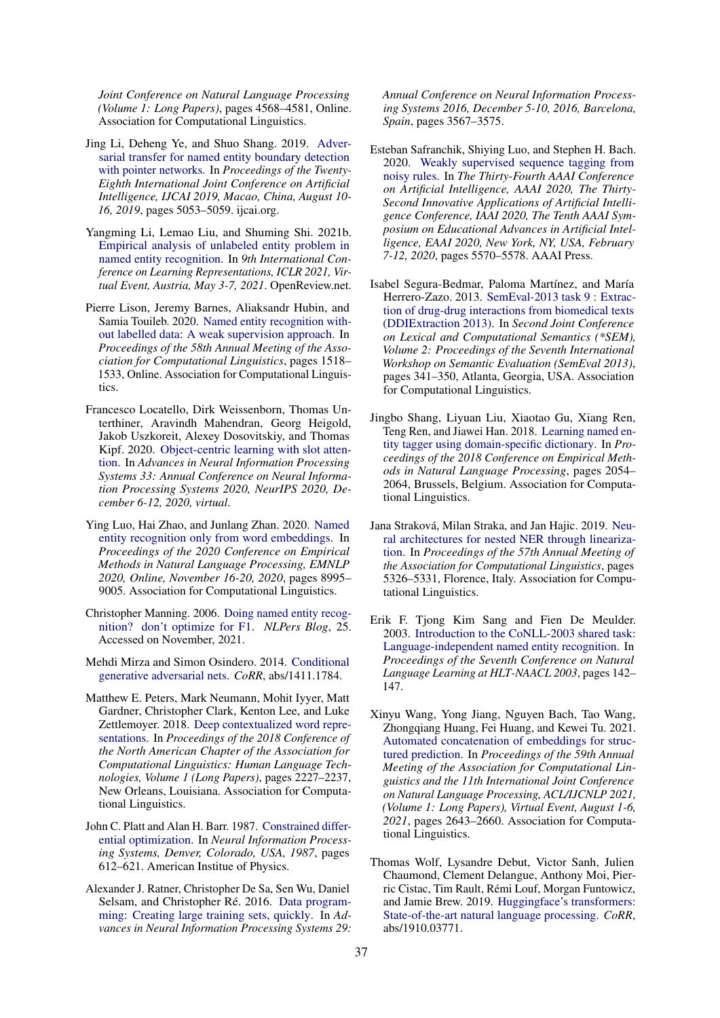*Joint Conference on Natural Language Processing (Volume 1: Long Papers)*, pages 4568–4581, Online. Association for Computational Linguistics.

- <span id="page-5-8"></span>Jing Li, Deheng Ye, and Shuo Shang. 2019. [Adver](https://doi.org/10.24963/ijcai.2019/702)[sarial transfer for named entity boundary detection](https://doi.org/10.24963/ijcai.2019/702) [with pointer networks.](https://doi.org/10.24963/ijcai.2019/702) In *Proceedings of the Twenty-Eighth International Joint Conference on Artificial Intelligence, IJCAI 2019, Macao, China, August 10- 16, 2019*, pages 5053–5059. ijcai.org.
- <span id="page-5-12"></span>Yangming Li, Lemao Liu, and Shuming Shi. 2021b. [Empirical analysis of unlabeled entity problem in](https://openreview.net/forum?id=5jRVa89sZk) [named entity recognition.](https://openreview.net/forum?id=5jRVa89sZk) In *9th International Conference on Learning Representations, ICLR 2021, Virtual Event, Austria, May 3-7, 2021*. OpenReview.net.
- <span id="page-5-10"></span>Pierre Lison, Jeremy Barnes, Aliaksandr Hubin, and Samia Touileb. 2020. [Named entity recognition with](https://doi.org/10.18653/v1/2020.acl-main.139)[out labelled data: A weak supervision approach.](https://doi.org/10.18653/v1/2020.acl-main.139) In *Proceedings of the 58th Annual Meeting of the Association for Computational Linguistics*, pages 1518– 1533, Online. Association for Computational Linguistics.
- <span id="page-5-6"></span>Francesco Locatello, Dirk Weissenborn, Thomas Unterthiner, Aravindh Mahendran, Georg Heigold, Jakob Uszkoreit, Alexey Dosovitskiy, and Thomas Kipf. 2020. [Object-centric learning with slot atten](https://proceedings.neurips.cc/paper/2020/hash/8511df98c02ab60aea1b2356c013bc0f-Abstract.html)[tion.](https://proceedings.neurips.cc/paper/2020/hash/8511df98c02ab60aea1b2356c013bc0f-Abstract.html) In *Advances in Neural Information Processing Systems 33: Annual Conference on Neural Information Processing Systems 2020, NeurIPS 2020, December 6-12, 2020, virtual*.
- <span id="page-5-11"></span>Ying Luo, Hai Zhao, and Junlang Zhan. 2020. [Named](https://doi.org/10.18653/v1/2020.emnlp-main.723) [entity recognition only from word embeddings.](https://doi.org/10.18653/v1/2020.emnlp-main.723) In *Proceedings of the 2020 Conference on Empirical Methods in Natural Language Processing, EMNLP 2020, Online, November 16-20, 2020*, pages 8995– 9005. Association for Computational Linguistics.
- <span id="page-5-13"></span>Christopher Manning. 2006. [Doing named entity recog](https://nlpers.blogspot.com/2006/08/doing-named-entity-recognition-dont.html)[nition? don't optimize for F1.](https://nlpers.blogspot.com/2006/08/doing-named-entity-recognition-dont.html) *NLPers Blog*, 25. Accessed on November, 2021.
- <span id="page-5-5"></span>Mehdi Mirza and Simon Osindero. 2014. [Conditional](http://arxiv.org/abs/1411.1784) [generative adversarial nets.](http://arxiv.org/abs/1411.1784) *CoRR*, abs/1411.1784.
- <span id="page-5-7"></span>Matthew E. Peters, Mark Neumann, Mohit Iyyer, Matt Gardner, Christopher Clark, Kenton Lee, and Luke Zettlemoyer. 2018. [Deep contextualized word repre](https://doi.org/10.18653/v1/N18-1202)[sentations.](https://doi.org/10.18653/v1/N18-1202) In *Proceedings of the 2018 Conference of the North American Chapter of the Association for Computational Linguistics: Human Language Technologies, Volume 1 (Long Papers)*, pages 2227–2237, New Orleans, Louisiana. Association for Computational Linguistics.
- <span id="page-5-16"></span>John C. Platt and Alan H. Barr. 1987. [Constrained differ](http://papers.nips.cc/paper/4-constrained-differential-optimization)[ential optimization.](http://papers.nips.cc/paper/4-constrained-differential-optimization) In *Neural Information Processing Systems, Denver, Colorado, USA, 1987*, pages 612–621. American Institue of Physics.
- <span id="page-5-2"></span>Alexander J. Ratner, Christopher De Sa, Sen Wu, Daniel Selsam, and Christopher Ré. 2016. [Data program](https://proceedings.neurips.cc/paper/2016/hash/6709e8d64a5f47269ed5cea9f625f7ab-Abstract.html)[ming: Creating large training sets, quickly.](https://proceedings.neurips.cc/paper/2016/hash/6709e8d64a5f47269ed5cea9f625f7ab-Abstract.html) In *Advances in Neural Information Processing Systems 29:*

*Annual Conference on Neural Information Processing Systems 2016, December 5-10, 2016, Barcelona, Spain*, pages 3567–3575.

- <span id="page-5-9"></span>Esteban Safranchik, Shiying Luo, and Stephen H. Bach. 2020. [Weakly supervised sequence tagging from](https://aaai.org/ojs/index.php/AAAI/article/view/6009) [noisy rules.](https://aaai.org/ojs/index.php/AAAI/article/view/6009) In *The Thirty-Fourth AAAI Conference on Artificial Intelligence, AAAI 2020, The Thirty-Second Innovative Applications of Artificial Intelligence Conference, IAAI 2020, The Tenth AAAI Symposium on Educational Advances in Artificial Intelligence, EAAI 2020, New York, NY, USA, February 7-12, 2020*, pages 5570–5578. AAAI Press.
- <span id="page-5-14"></span>Isabel Segura-Bedmar, Paloma Martínez, and María Herrero-Zazo. 2013. [SemEval-2013 task 9 : Extrac](https://aclanthology.org/S13-2056)[tion of drug-drug interactions from biomedical texts](https://aclanthology.org/S13-2056) [\(DDIExtraction 2013\).](https://aclanthology.org/S13-2056) In *Second Joint Conference on Lexical and Computational Semantics (\*SEM), Volume 2: Proceedings of the Seventh International Workshop on Semantic Evaluation (SemEval 2013)*, pages 341–350, Atlanta, Georgia, USA. Association for Computational Linguistics.
- <span id="page-5-3"></span>Jingbo Shang, Liyuan Liu, Xiaotao Gu, Xiang Ren, Teng Ren, and Jiawei Han. 2018. [Learning named en](https://doi.org/10.18653/v1/D18-1230)[tity tagger using domain-specific dictionary.](https://doi.org/10.18653/v1/D18-1230) In *Proceedings of the 2018 Conference on Empirical Methods in Natural Language Processing*, pages 2054– 2064, Brussels, Belgium. Association for Computational Linguistics.
- <span id="page-5-0"></span>Jana Straková, Milan Straka, and Jan Hajic. 2019. [Neu](https://doi.org/10.18653/v1/P19-1527)[ral architectures for nested NER through lineariza](https://doi.org/10.18653/v1/P19-1527)[tion.](https://doi.org/10.18653/v1/P19-1527) In *Proceedings of the 57th Annual Meeting of the Association for Computational Linguistics*, pages 5326–5331, Florence, Italy. Association for Computational Linguistics.
- <span id="page-5-4"></span>Erik F. Tjong Kim Sang and Fien De Meulder. 2003. [Introduction to the CoNLL-2003 shared task:](https://aclanthology.org/W03-0419) [Language-independent named entity recognition.](https://aclanthology.org/W03-0419) In *Proceedings of the Seventh Conference on Natural Language Learning at HLT-NAACL 2003*, pages 142– 147.
- <span id="page-5-1"></span>Xinyu Wang, Yong Jiang, Nguyen Bach, Tao Wang, Zhongqiang Huang, Fei Huang, and Kewei Tu. 2021. [Automated concatenation of embeddings for struc](https://doi.org/10.18653/v1/2021.acl-long.206)[tured prediction.](https://doi.org/10.18653/v1/2021.acl-long.206) In *Proceedings of the 59th Annual Meeting of the Association for Computational Linguistics and the 11th International Joint Conference on Natural Language Processing, ACL/IJCNLP 2021, (Volume 1: Long Papers), Virtual Event, August 1-6, 2021*, pages 2643–2660. Association for Computational Linguistics.
- <span id="page-5-15"></span>Thomas Wolf, Lysandre Debut, Victor Sanh, Julien Chaumond, Clement Delangue, Anthony Moi, Pierric Cistac, Tim Rault, Rémi Louf, Morgan Funtowicz, and Jamie Brew. 2019. [Huggingface's transformers:](http://arxiv.org/abs/1910.03771) [State-of-the-art natural language processing.](http://arxiv.org/abs/1910.03771) *CoRR*, abs/1910.03771.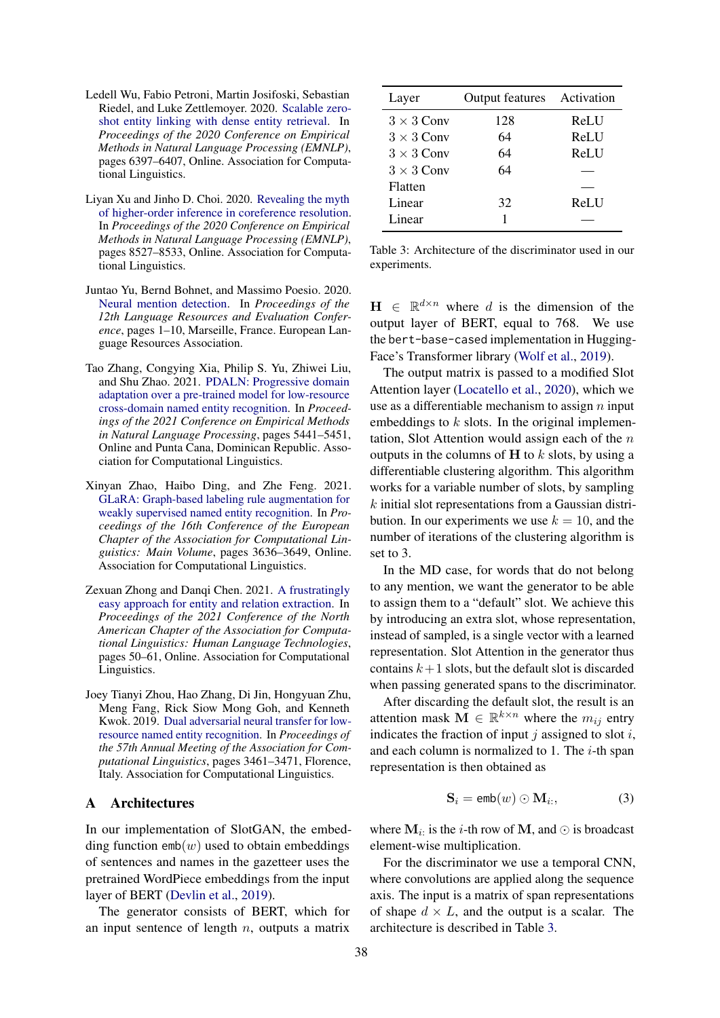- <span id="page-6-0"></span>Ledell Wu, Fabio Petroni, Martin Josifoski, Sebastian Riedel, and Luke Zettlemoyer. 2020. [Scalable zero](https://doi.org/10.18653/v1/2020.emnlp-main.519)[shot entity linking with dense entity retrieval.](https://doi.org/10.18653/v1/2020.emnlp-main.519) In *Proceedings of the 2020 Conference on Empirical Methods in Natural Language Processing (EMNLP)*, pages 6397–6407, Online. Association for Computational Linguistics.
- <span id="page-6-2"></span>Liyan Xu and Jinho D. Choi. 2020. [Revealing the myth](https://doi.org/10.18653/v1/2020.emnlp-main.686) [of higher-order inference in coreference resolution.](https://doi.org/10.18653/v1/2020.emnlp-main.686) In *Proceedings of the 2020 Conference on Empirical Methods in Natural Language Processing (EMNLP)*, pages 8527–8533, Online. Association for Computational Linguistics.
- <span id="page-6-4"></span>Juntao Yu, Bernd Bohnet, and Massimo Poesio. 2020. [Neural mention detection.](https://aclanthology.org/2020.lrec-1.1) In *Proceedings of the 12th Language Resources and Evaluation Conference*, pages 1–10, Marseille, France. European Language Resources Association.
- <span id="page-6-6"></span>Tao Zhang, Congying Xia, Philip S. Yu, Zhiwei Liu, and Shu Zhao. 2021. [PDALN: Progressive domain](https://aclanthology.org/2021.emnlp-main.442) [adaptation over a pre-trained model for low-resource](https://aclanthology.org/2021.emnlp-main.442) [cross-domain named entity recognition.](https://aclanthology.org/2021.emnlp-main.442) In *Proceedings of the 2021 Conference on Empirical Methods in Natural Language Processing*, pages 5441–5451, Online and Punta Cana, Dominican Republic. Association for Computational Linguistics.
- <span id="page-6-7"></span>Xinyan Zhao, Haibo Ding, and Zhe Feng. 2021. [GLaRA: Graph-based labeling rule augmentation for](https://aclanthology.org/2021.eacl-main.318) [weakly supervised named entity recognition.](https://aclanthology.org/2021.eacl-main.318) In *Proceedings of the 16th Conference of the European Chapter of the Association for Computational Linguistics: Main Volume*, pages 3636–3649, Online. Association for Computational Linguistics.
- <span id="page-6-1"></span>Zexuan Zhong and Danqi Chen. 2021. [A frustratingly](https://doi.org/10.18653/v1/2021.naacl-main.5) [easy approach for entity and relation extraction.](https://doi.org/10.18653/v1/2021.naacl-main.5) In *Proceedings of the 2021 Conference of the North American Chapter of the Association for Computational Linguistics: Human Language Technologies*, pages 50–61, Online. Association for Computational Linguistics.
- <span id="page-6-5"></span>Joey Tianyi Zhou, Hao Zhang, Di Jin, Hongyuan Zhu, Meng Fang, Rick Siow Mong Goh, and Kenneth Kwok. 2019. [Dual adversarial neural transfer for low](https://doi.org/10.18653/v1/P19-1336)[resource named entity recognition.](https://doi.org/10.18653/v1/P19-1336) In *Proceedings of the 57th Annual Meeting of the Association for Computational Linguistics*, pages 3461–3471, Florence, Italy. Association for Computational Linguistics.

### <span id="page-6-3"></span>A Architectures

In our implementation of SlotGAN, the embedding function  $emb(w)$  used to obtain embeddings of sentences and names in the gazetteer uses the pretrained WordPiece embeddings from the input layer of BERT [\(Devlin et al.,](#page-4-6) [2019\)](#page-4-6).

The generator consists of BERT, which for an input sentence of length  $n$ , outputs a matrix

<span id="page-6-8"></span>

| Layer             | <b>Output features</b> Activation |      |
|-------------------|-----------------------------------|------|
| $3 \times 3$ Conv | 128                               | ReLU |
| $3 \times 3$ Conv | 64                                | ReLU |
| $3 \times 3$ Conv | 64                                | ReLU |
| $3 \times 3$ Conv | 64                                |      |
| Flatten           |                                   |      |
| Linear            | 32                                | ReLU |
| Linear            | 1                                 |      |

Table 3: Architecture of the discriminator used in our experiments.

 $H \in \mathbb{R}^{d \times n}$  where d is the dimension of the output layer of BERT, equal to 768. We use the bert-base-cased implementation in Hugging-Face's Transformer library [\(Wolf et al.,](#page-5-15) [2019\)](#page-5-15).

The output matrix is passed to a modified Slot Attention layer [\(Locatello et al.,](#page-5-6) [2020\)](#page-5-6), which we use as a differentiable mechanism to assign  $n$  input embeddings to  $k$  slots. In the original implementation, Slot Attention would assign each of the  $n$ outputs in the columns of  $H$  to  $k$  slots, by using a differentiable clustering algorithm. This algorithm works for a variable number of slots, by sampling k initial slot representations from a Gaussian distribution. In our experiments we use  $k = 10$ , and the number of iterations of the clustering algorithm is set to 3.

In the MD case, for words that do not belong to any mention, we want the generator to be able to assign them to a "default" slot. We achieve this by introducing an extra slot, whose representation, instead of sampled, is a single vector with a learned representation. Slot Attention in the generator thus contains  $k+1$  slots, but the default slot is discarded when passing generated spans to the discriminator.

After discarding the default slot, the result is an attention mask  $\mathbf{M} \in \mathbb{R}^{k \times n}$  where the  $m_{ij}$  entry indicates the fraction of input  $j$  assigned to slot  $i$ , and each column is normalized to 1. The  $i$ -th span representation is then obtained as

$$
\mathbf{S}_i = \text{emb}(w) \odot \mathbf{M}_{i:}, \tag{3}
$$

where  $M_i$ : is the *i*-th row of M, and  $\odot$  is broadcast element-wise multiplication.

For the discriminator we use a temporal CNN, where convolutions are applied along the sequence axis. The input is a matrix of span representations of shape  $d \times L$ , and the output is a scalar. The architecture is described in Table [3.](#page-6-8)